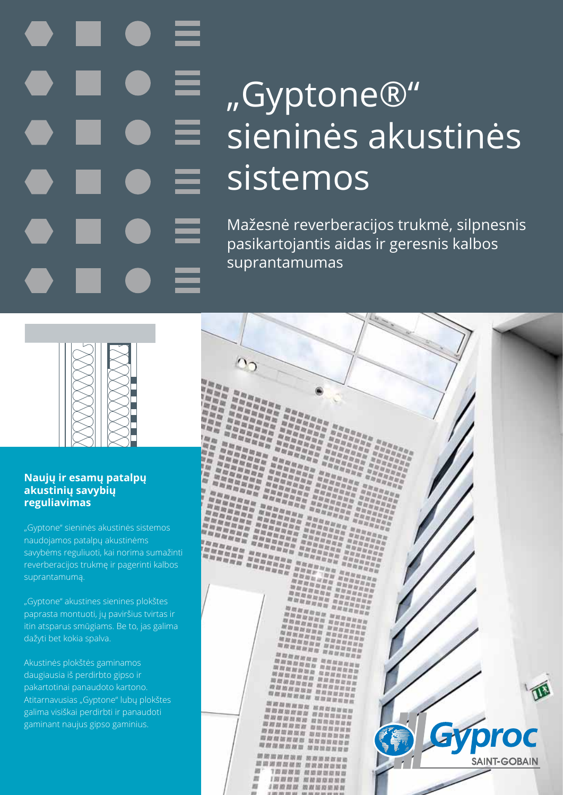# "Gyptone®" sieninės akustinės sistemos

Mažesnė reverberacijos trukmė, silpnesnis pasikartojantis aidas ir geresnis kalbos suprantamumas



### **Naujų ir esamų patalpų akustinių savybių reguliavimas**

"Gyptone" sieninės akustinės sistemos naudojamos patalpų akustinėms savybėms reguliuoti, kai norima sumažinti reverberacijos trukmę ir pagerinti kalbos suprantamumą.

"Gyptone" akustines sienines plokštes paprasta montuoti, jų paviršius tvirtas ir itin atsparus smūgiams. Be to, jas galima dažyti bet kokia spalva.

Akustinės plokštės gaminamos daugiausia iš perdirbto gipso ir pakartotinai panaudoto kartono. Atitarnavusias "Gyptone" lubų plokštes galima visiškai perdirbti ir panaudoti gaminant naujus gipso gaminius.

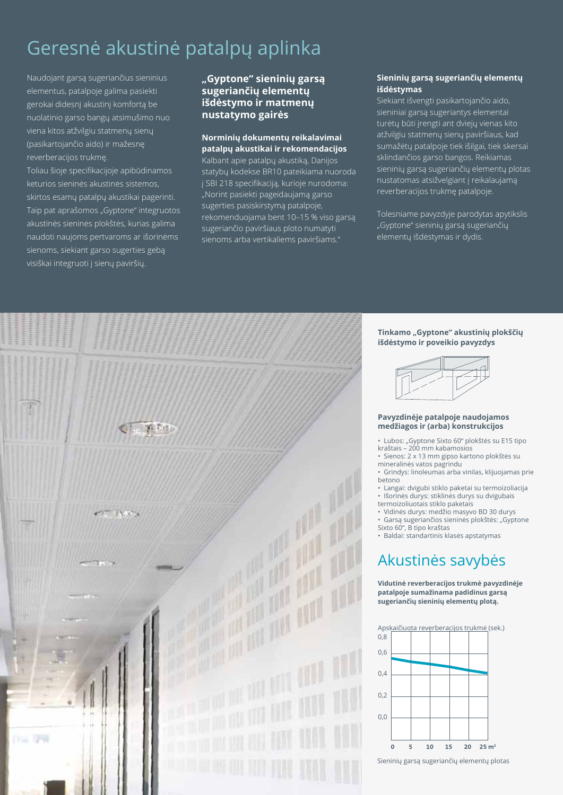### Geresnė akustinė patalpų aplinka

Naudojant garsą sugeriančius sieninius elementus, patalpoje galima pasiekti gerokai didesnį akustinį komfortą be nuolatinio garso bangų atsimušimo nuo viena kitos atžvilgiu statmenų sienų (pasikartojančio aido) ir mažesnę reverberacijos trukmę.

Toliau šioje specifikacijoje apibūdinamos keturios sieninės akustinės sistemos, skirtos esamų patalpų akustikai pagerinti. Taip pat aprašomos "Gyptone" integruotos akustinės sieninės plokštės, kurias galima naudoti naujoms pertvaroms ar išorinėms sienoms, siekiant garso sugerties gebą visiškai integruoti į sienų paviršių.

#### **"Gyptone" sieninių garsą sugeriančių elementų išdėstymo ir matmenų nustatymo gairės**

#### **Norminių dokumentų reikalavimai patalpų akustikai ir rekomendacijos**

Kalbant apie patalpų akustiką, Danijos statybų kodekse BR10 pateikiama nuoroda į SBI 218 specifikaciją, kurioje nurodoma: "Norint pasiekti pageidaujamą garso sugerties pasiskirstymą patalpoje, rekomenduojama bent 10–15 % viso garsą sugeriančio paviršiaus ploto numatyti sienoms arba vertikaliems paviršiams."

#### **Sieninių garsą sugeriančių elementų išdėstymas**

Siekiant išvengti pasikartojančio aido, sieniniai garsą sugeriantys elementai turėtų būti įrengti ant dviejų vienas kito atžvilgiu statmenų sienų paviršiaus, kad sumažėtų patalpoje tiek išilgai, tiek skersai sklindančios garso bangos. Reikiamas sieninių garsą sugeriančių elementų plotas nustatomas atsižvelgiant į reikalaujamą reverberacijos trukmę patalpoje.

Tolesniame pavyzdyje parodytas apytikslis "Gyptone" sieninių garsą sugeriančių elementų išdėstymas ir dydis.



#### Tinkamo "Gyptone" akustinių plokščių **išdėstymo ir poveikio pavyzdys**



#### **Pavyzdinėje patalpoje naudojamos medžiagos ir (arba) konstrukcijos**

- Lubos: "Gyptone Sixto 60" plokštės su E15 tipo kraštais – 200 mm kabamosios
- Sienos: 2 x 13 mm gipso kartono plokštės su mineralinės vatos pagrindu
- Grindys: linoleumas arba vinilas, klijuojamas prie betono
- Langai: dvigubi stiklo paketai su termoizoliacija • Išorinės durys: stiklinės durys su dvigubais
- termoizoliuotais stiklo paketais
- Vidinės durys: medžio masyvo BD 30 durys • Garsą sugeriančios sieninės plokštės: "Gyptone Sixto 60", B tipo kraštas
- Baldai: standartinis klasės apstatymas

### Akustinės savybės

**Vidutinė reverberacijos trukmė pavyzdinėje patalpoje sumažinama padidinus garsą sugeriančių sieninių elementų plotą.**



Sieninių garsą sugeriančių elementų plotas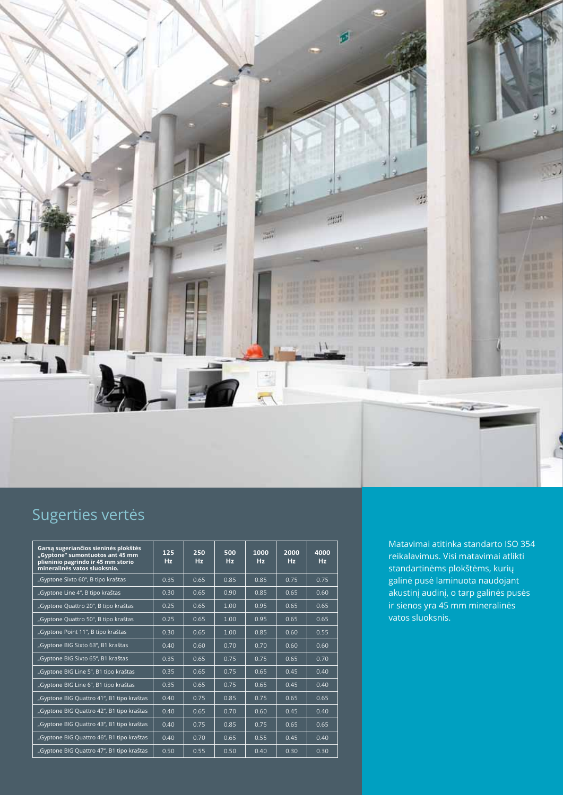

### Sugerties vertės

| Garsa sugeriančios sieninės plokštės<br>"Gyptone" sumontuotos ant 45 mm<br>plieninio pagrindo ir 45 mm storio<br>mineralinės vatos sluoksnio. | 125<br>Hz | 250<br>Hz | 500<br>Hz | 1000<br>Hz | 2000<br><b>Hz</b> | 4000<br>Hz |
|-----------------------------------------------------------------------------------------------------------------------------------------------|-----------|-----------|-----------|------------|-------------------|------------|
| "Gyptone Sixto 60", B tipo kraštas                                                                                                            | 0.35      | 0.65      | 0.85      | 0.85       | 0.75              | 0.75       |
| "Gyptone Line 4", B tipo kraštas                                                                                                              | 0.30      | 0.65      | 0.90      | 0.85       | 0.65              | 0.60       |
| "Gyptone Quattro 20", B tipo kraštas                                                                                                          | 0.25      | 0.65      | 1.00      | 0.95       | 0.65              | 0.65       |
| "Gyptone Quattro 50", B tipo kraštas                                                                                                          | 0.25      | 0.65      | 1.00      | 0.95       | 0.65              | 0.65       |
| "Gyptone Point 11", B tipo kraštas                                                                                                            | 0.30      | 0.65      | 1.00      | 0.85       | 0.60              | 0.55       |
| "Gyptone BIG Sixto 63", B1 kraštas                                                                                                            | 0.40      | 0.60      | 0.70      | 0.70       | 0.60              | 0.60       |
| "Gyptone BIG Sixto 65", B1 kraštas                                                                                                            | 0.35      | 0.65      | 0.75      | 0.75       | 0.65              | 0.70       |
| "Gyptone BIG Line 5", B1 tipo kraštas                                                                                                         | 0.35      | 0.65      | 0.75      | 0.65       | 0.45              | 0.40       |
| "Gyptone BIG Line 6", B1 tipo kraštas                                                                                                         | 0.35      | 0.65      | 0.75      | 0.65       | 0.45              | 0.40       |
| "Gyptone BIG Quattro 41", B1 tipo kraštas                                                                                                     | 0.40      | 0.75      | 0.85      | 0.75       | 0.65              | 0.65       |
| "Gyptone BIG Quattro 42", B1 tipo kraštas                                                                                                     | 0.40      | 0.65      | 0.70      | 0.60       | 0.45              | 0.40       |
| "Gyptone BIG Quattro 43", B1 tipo kraštas                                                                                                     | 0.40      | 0.75      | 0.85      | 0.75       | 0.65              | 0.65       |
| "Gyptone BIG Quattro 46", B1 tipo kraštas                                                                                                     | 0.40      | 0.70      | 0.65      | 0.55       | 0.45              | 0.40       |
| "Gyptone BIG Quattro 47", B1 tipo kraštas                                                                                                     | 0.50      | 0.55      | 0.50      | 0.40       | 0.30              | 0.30       |

Matavimai atitinka standarto ISO 354 reikalavimus. Visi matavimai atlikti standartinėms plokštėms, kurių galinė pusė laminuota naudojant akustinį audinį, o tarp galinės pusės ir sienos yra 45 mm mineralinės vatos sluoksnis.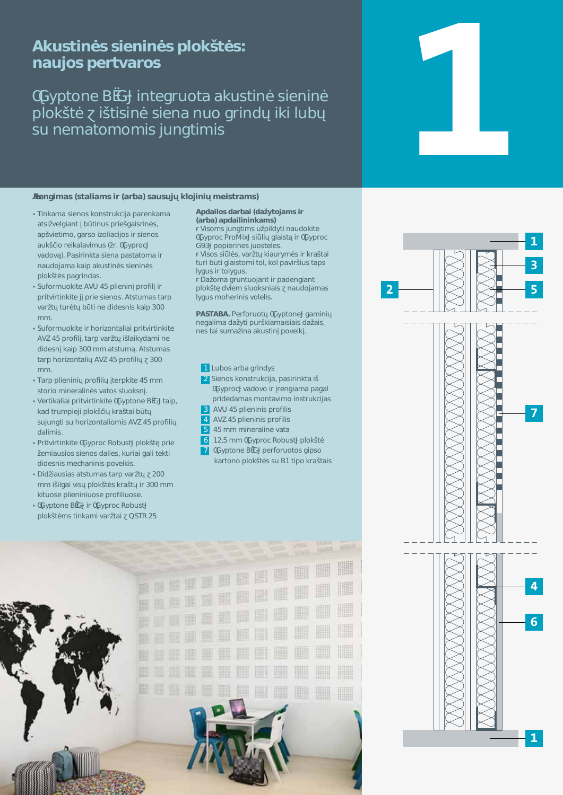### 5\_i gh]bógg]Yb]bógd`c\_ hóg bUi 'cgdYfhj Ufcg

### ; mdhcbY6; ']bhY[fichJU\_igh]bóg]Yb]bó' d`c\_ ho ] h]g]bo g]YbU bi c [f]bX ]\_] i V gi bYa Uhca ca gi 1 b [ h]a ]g

#### fYb[]a Ug'fgHJ]Ua g]f fUfVUŁgUi g ^ \_`c']b] a Y]ghfUa gŁ

- Hlb\_Ua U'q]Ybcg\_cbghfi \_WU'dUfYb\_Ua U' Ung] j Y [ ]Ubh V h]bi g df]Y [ U]gf]bógž Ud j ]Yh]a cž[ Ufgc ]nc ]UVVcg ]f g]Ybcg Ui \_ é]c fY]\_U`Uj ]a i g fl f" ; md f c W' j UXcj ál"DUg]f]b\_HJ'g]YbU'dUgHJhca U']f bUi Xc Ua U\_U]d U\_i gh]bóg g]Yb]bóg d`c hóg`dU[f]bXUq"
- Gi Zcfa i c\_]hY 5JI () d`]Yb]b dfcZ] `]f df|h |fh|b |h| '^'df|Y'q|Ybcq"5hqhi a UqitUfd j Uf h h fóh V h bY X X Y q b q U d s\$ a a "
- Gi Zcfa i c\_]hY [f \cf]ncbHJ [U] df]hj [fh]b\_]hY 5JN() dfcZj žHJfd j Uf h ] `U]\_mXUa ] bY X]XYgb \_U]d '\$\$ a a Uhghi a á"5hghi a Ug HUfd \cf]ncbHJ] 5JN() dfcZ]] ''\$\$ a a "
- HUfd d`]Yb]b] dfcZ]`] 'HYfd\_]HY() a a ghcf]c a ]bYfU]bógj Uhcggi c\_gb "
- JYfh\_U`]U]df]hj ]fh]b\_]hY ; ndhcbY6; hU]dž \_UX Ifi a d]Y']'d`c\_ é] \_fU HJJV h gi 1 b[h]gi \cf]ncbHJ]ca ]g 5J N () dfcZ]] XU']a ]g"
- . Dflhilfhib lhY: mdfcWFcVi ah d`c ho`dflY Ya ]Ui g]cg g]Ybcg XU ]Ygž\_i f]U] [ U ] hY\_h] XXYqblga YWUblblgdci YLlg"
- 8 |X |Ui g|Ug Uhghi a Ug hUfd j Uf h &\$\$ a a ] ]`[U]j]g d`c\_ hóg\_fU h ]f" \$\$ a a \_]hi cgY'd`]Yb]b]i cgY'dfcZj`]i cgY"
- ; mdhcbY6; ]f; mdfcWFcVigh d`c\_ hóa g`h]b\_Ua ] j Uf HJ] E GHF &)

#### 5dXU] cg XUfVU] fKU nhc Ua g ]f fUfVUŁUdXU]`]b]b\_Ua gŁ

J]gca g1 b[h]a gi d]Xnh]bUi Xc\_]hY ; mdfcWDfcA ]l [g] ] [`U]ghá ]f ; mdfcW - dcd]Yf]bYg 1 cghY`Yg"

Jgcgg] `ogžj Uf h \_JUi fma og Jf \_fU HJ]<br>h f]V hj[`UJghca ]hc`ž\_c`dUj Jf Ji g HJdg `m[ig]f`hc`m[ig"

8U ca U[fi bh c Ubh]f dUXYb[]Ubh d`c\_ hō Xj ]Ya 'g`i c\_gb]U]g 'bUi Xc Ua Ug' `m[i ga c\Yf]b]gj c`Y`]g"

D5GH565"DYfZcfich ; mdhcbY [Ua ]b] bY[U]a UXU mh]di f \_JUa U]g]U]g XU U]gž bYg HJ] gi a U ]bU U\_i gh]b dcj YL

#### % @ VcqUfVU [f]bXmg & GYbcg\_cbghfi \_WUždUg|f|b\_HJ] mdfcWjUXcjcJf fYb[JUaUdU[U df]XYXUa Ug'a cbHJj ]a c']bghfi \_WUg "5JI () d`]Yb]b]gdfcZ]`]g "5JN() d`]Yb]b]qdfcZ]`]q billo di alla di alla di alla di alla di alla di alla di alla di alla di all'unione di all'anno di all'unione d<br>Di all'alla di all'alla di all'alla di all'unione di all'unione di all'unione di all'unione di all'unione di a %&ž) a a ; mdfcWFcVigh d'c\_hó : mdhcbY6 : dYfZcfichcq[]dgc

Ufhcbc d'c\_ hóg'gi '6%h|dc \_fU HJ|g



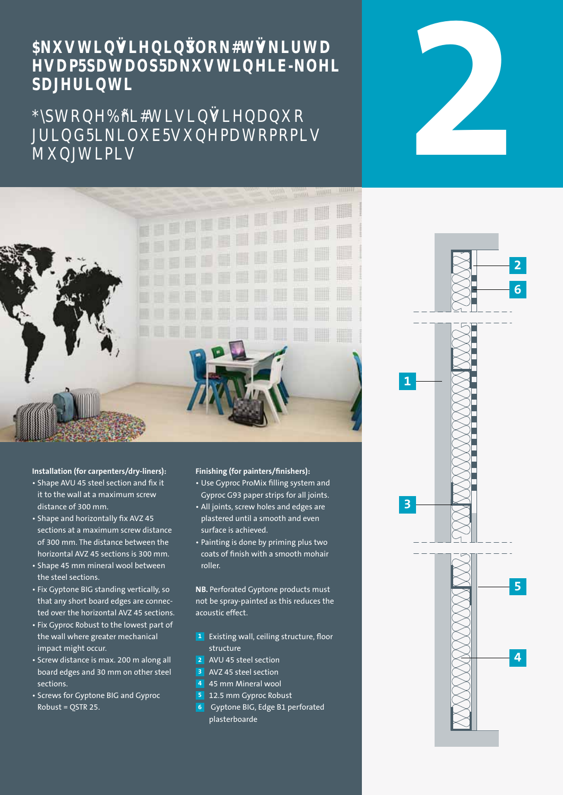### **NAGY SAVWLDU** HRJ EN BIJFEN SDJHULQW

## Tb**yM**%T,NTTNLMMQ ONDOWN



#### **Installation (for carpenters/dry-liners):**

- Shape AVU 45 steel section and fix it it to the wall at a maximum screw distance of 300 mm.
- Shape and horizontally fix AVZ 45 sections at a maximum screw distance of 300 mm. The distance between the horizontal AVZ 45 sections is 300 mm.
- Shape 45 mm mineral wool between the steel sections.
- Fix Gyptone BIG standing vertically, so that any short board edges are connected over the horizontal AVZ 45 sections.
- Fix Gyproc Robust to the lowest part of the wall where greater mechanical impact might occur.
- Screw distance is max. 200 m along all board edges and 30 mm on other steel sections.
- Screws for Gyptone BIG and Gyproc Robust = QSTR 25.

#### **Finishing (for painters/finishers):**

- Use Gyproc ProMix filling system and Gyproc G93 paper strips for all joints.
- All joints, screw holes and edges are plastered until a smooth and even surface is achieved.
- Painting is done by priming plus two coats of finish with a smooth mohair roller.

**NB.** Perforated Gyptone products must not be spray-painted as this reduces the acoustic effect.

- **1** Existing wall, ceiling structure, floor structure
- **2** AVU 45 steel section
- **3** AVZ 45 steel section
- **4** 45 mm Mineral wool
- **5** 12.5 mm Gyproc Robust
- **6** Gyptone BIG, Edge B1 perforated plasterboarde



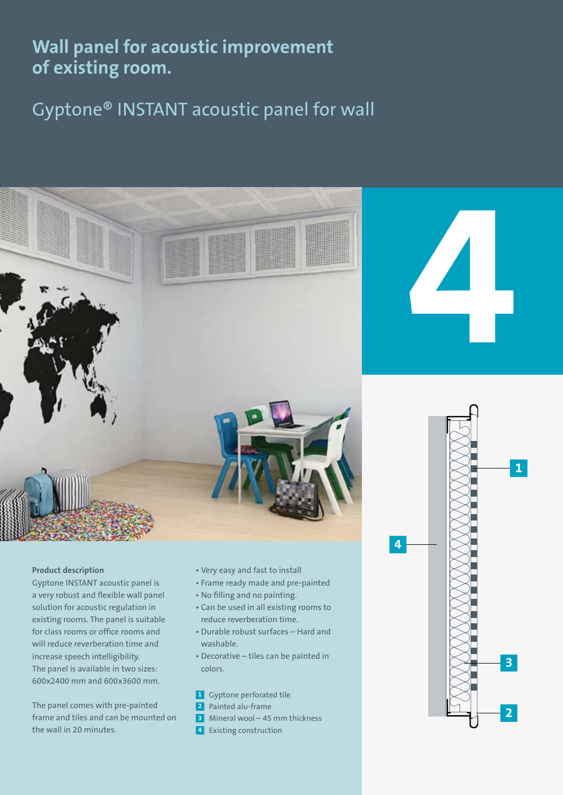**Wall panel for acoustic improvement of existing room.** 

Gyptone® INSTANT acoustic panel for wall



#### **Product description**

Gyptone INSTANT acoustic panel is a very robust and flexible wall panel solution for acoustic regulation in existing rooms. The panel is suitable for class rooms or office rooms and will reduce reverberation time and increase speech intelligibility. The panel is available in two sizes: 600x2400 mm and 600x3600 mm.

The panel comes with pre-painted frame and tiles and can be mounted on the wall in 20 minutes.

- Very easy and fast to install
- Frame ready made and pre-painted
- No filling and no painting.
- Can be used in all existing rooms to reduce reverberation time.
- Durable robust surfaces Hard and washable.
- Decorative tiles can be painted in colors.

**1** Gyptone perforated tile

- **2** Painted alu-frame
- **3** Mineral wool 45 mm thickness
- **4** Existing construction



**4**